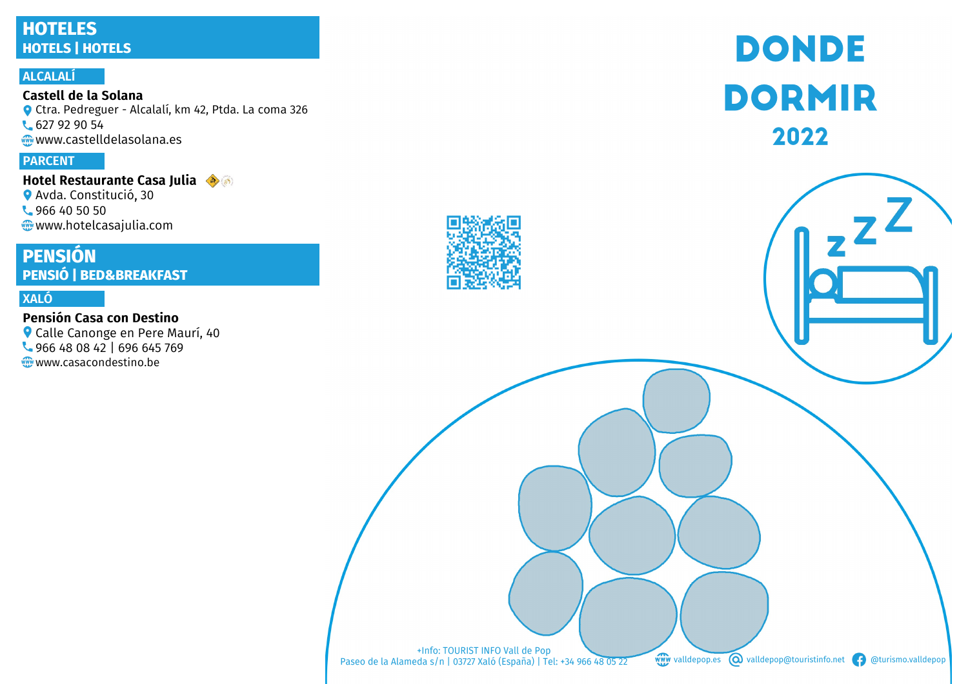# **HOTELES HOTELS | HOTELS**

#### **ALCALALÍ**

Castell de la Solana Ctra. Pedreguer - Alcalalí, km 42, Ptda. La coma 326 **627 92 90 54** www.castelldelasolana.es

#### **PARCENT**

**Hotel Restaurante Casa Julia Avda. Constitució, 30 4966 40 50 50** www.hotelcasajulia.com

# **PENSIÓN PENSIÓ | BED&BREAKFAST**

#### **XALÓ**

#### Pensión Casa con Destino

Calle Canonge en Pere Maurí, 40 966 48 08 42 | 696 645 769 www.casacondestino.be



# **DONDE DORMIR** 2022

+Info: TOURIST INFO Vall de Pop<br>Paseo de la Alameda s/n | 03727 Xaló (España) | Tel: +34 966 48 05 22

www valldepop.es **O** valldepop@touristinfo.net **f** @turismo.valldepop